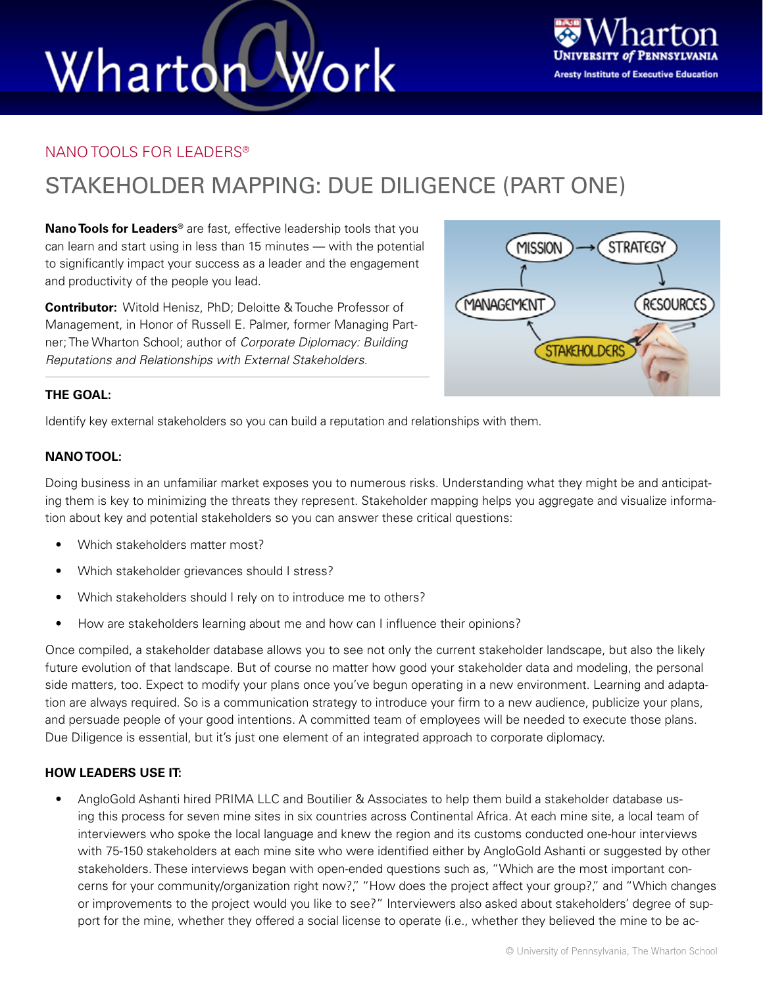# Work Wharton



### NANO TOOLS FOR LEADERS®

### STAKEHOLDER MAPPING: DUE DILIGENCE (PART ONE)

**Nano Tools for Leaders®** are fast, effective leadership tools that you can learn and start using in less than 15 minutes — with the potential to significantly impact your success as a leader and the engagement and productivity of the people you lead.

**Contributor:** Witold Henisz, PhD; Deloitte & Touche Professor of Management, in Honor of Russell E. Palmer, former Managing Partner; The Wharton School; author of *Corporate Diplomacy: Building Reputations and Relationships with External Stakeholders.* 



### **THE GOAL:**

Identify key external stakeholders so you can build a reputation and relationships with them.

### **NANO TOOL:**

Doing business in an unfamiliar market exposes you to numerous risks. Understanding what they might be and anticipating them is key to minimizing the threats they represent. Stakeholder mapping helps you aggregate and visualize information about key and potential stakeholders so you can answer these critical questions:

- Which stakeholders matter most?
- Which stakeholder grievances should I stress?
- Which stakeholders should I rely on to introduce me to others?
- How are stakeholders learning about me and how can I influence their opinions?

Once compiled, a stakeholder database allows you to see not only the current stakeholder landscape, but also the likely future evolution of that landscape. But of course no matter how good your stakeholder data and modeling, the personal side matters, too. Expect to modify your plans once you've begun operating in a new environment. Learning and adaptation are always required. So is a communication strategy to introduce your firm to a new audience, publicize your plans, and persuade people of your good intentions. A committed team of employees will be needed to execute those plans. Due Diligence is essential, but it's just one element of an integrated approach to corporate diplomacy.

### **HOW LEADERS USE IT:**

• AngloGold Ashanti hired PRIMA LLC and Boutilier & Associates to help them build a stakeholder database using this process for seven mine sites in six countries across Continental Africa. At each mine site, a local team of interviewers who spoke the local language and knew the region and its customs conducted one-hour interviews with 75-150 stakeholders at each mine site who were identified either by AngloGold Ashanti or suggested by other stakeholders. These interviews began with open-ended questions such as, "Which are the most important concerns for your community/organization right now?," "How does the project affect your group?," and "Which changes or improvements to the project would you like to see?" Interviewers also asked about stakeholders' degree of support for the mine, whether they offered a social license to operate (i.e., whether they believed the mine to be ac-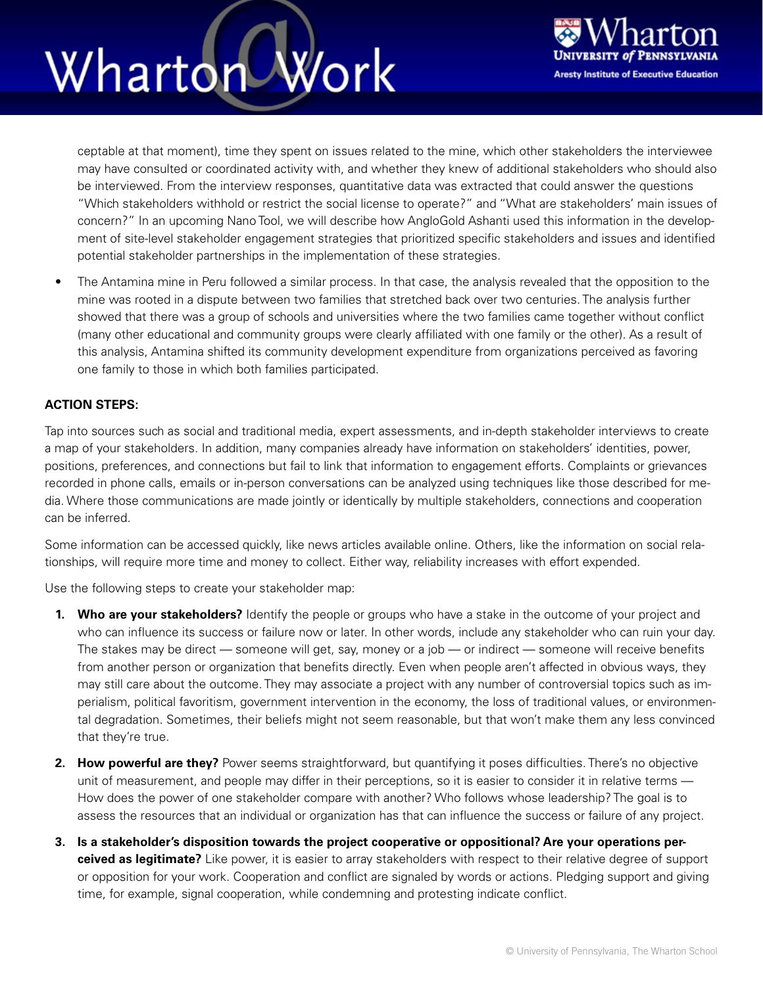## Wharton Work



ceptable at that moment), time they spent on issues related to the mine, which other stakeholders the interviewee may have consulted or coordinated activity with, and whether they knew of additional stakeholders who should also be interviewed. From the interview responses, quantitative data was extracted that could answer the questions "Which stakeholders withhold or restrict the social license to operate?" and "What are stakeholders' main issues of concern?" In an upcoming Nano Tool, we will describe how AngloGold Ashanti used this information in the development of site-level stakeholder engagement strategies that prioritized specific stakeholders and issues and identified potential stakeholder partnerships in the implementation of these strategies.

• The Antamina mine in Peru followed a similar process. In that case, the analysis revealed that the opposition to the mine was rooted in a dispute between two families that stretched back over two centuries. The analysis further showed that there was a group of schools and universities where the two families came together without conflict (many other educational and community groups were clearly affiliated with one family or the other). As a result of this analysis, Antamina shifted its community development expenditure from organizations perceived as favoring one family to those in which both families participated.

### **ACTION STEPS:**

Tap into sources such as social and traditional media, expert assessments, and in-depth stakeholder interviews to create a map of your stakeholders. In addition, many companies already have information on stakeholders' identities, power, positions, preferences, and connections but fail to link that information to engagement efforts. Complaints or grievances recorded in phone calls, emails or in-person conversations can be analyzed using techniques like those described for media. Where those communications are made jointly or identically by multiple stakeholders, connections and cooperation can be inferred.

Some information can be accessed quickly, like news articles available online. Others, like the information on social relationships, will require more time and money to collect. Either way, reliability increases with effort expended.

Use the following steps to create your stakeholder map:

- **1. Who are your stakeholders?** Identify the people or groups who have a stake in the outcome of your project and who can influence its success or failure now or later. In other words, include any stakeholder who can ruin your day. The stakes may be direct — someone will get, say, money or a job — or indirect — someone will receive benefits from another person or organization that benefits directly. Even when people aren't affected in obvious ways, they may still care about the outcome. They may associate a project with any number of controversial topics such as imperialism, political favoritism, government intervention in the economy, the loss of traditional values, or environmental degradation. Sometimes, their beliefs might not seem reasonable, but that won't make them any less convinced that they're true.
- **2. How powerful are they?** Power seems straightforward, but quantifying it poses difficulties. There's no objective unit of measurement, and people may differ in their perceptions, so it is easier to consider it in relative terms — How does the power of one stakeholder compare with another? Who follows whose leadership? The goal is to assess the resources that an individual or organization has that can influence the success or failure of any project.
- **3. Is a stakeholder's disposition towards the project cooperative or oppositional? Are your operations perceived as legitimate?** Like power, it is easier to array stakeholders with respect to their relative degree of support or opposition for your work. Cooperation and conflict are signaled by words or actions. Pledging support and giving time, for example, signal cooperation, while condemning and protesting indicate conflict.